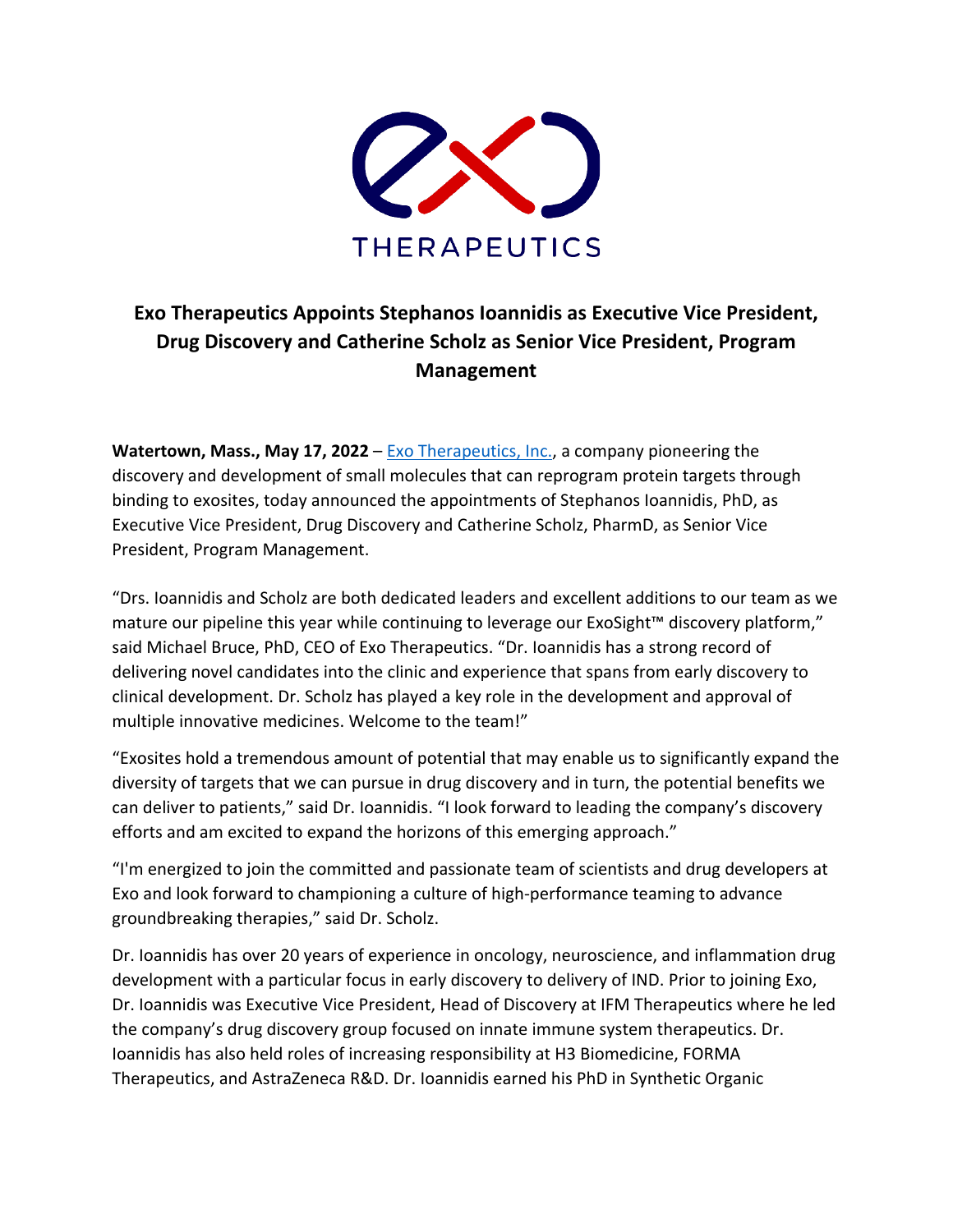

## **Exo Therapeutics Appoints Stephanos Ioannidis as Executive Vice President, Drug Discovery and Catherine Scholz as Senior Vice President, Program Management**

**Watertown, Mass., May 17, 2022** – [Exo Therapeutics,](http://exo-therapeutics.com/) Inc., a company pioneering the discovery and development of small molecules that can reprogram protein targets through binding to exosites, today announced the appointments of Stephanos Ioannidis, PhD, as Executive Vice President, Drug Discovery and Catherine Scholz, PharmD, as Senior Vice President, Program Management.

"Drs. Ioannidis and Scholz are both dedicated leaders and excellent additions to our team as we mature our pipeline this year while continuing to leverage our ExoSight™ discovery platform," said Michael Bruce, PhD, CEO of Exo Therapeutics. "Dr. Ioannidis has a strong record of delivering novel candidates into the clinic and experience that spans from early discovery to clinical development. Dr. Scholz has played a key role in the development and approval of multiple innovative medicines. Welcome to the team!"

"Exosites hold a tremendous amount of potential that may enable us to significantly expand the diversity of targets that we can pursue in drug discovery and in turn, the potential benefits we can deliver to patients," said Dr. Ioannidis. "I look forward to leading the company's discovery efforts and am excited to expand the horizons of this emerging approach."

"I'm energized to join the committed and passionate team of scientists and drug developers at Exo and look forward to championing a culture of high-performance teaming to advance groundbreaking therapies," said Dr. Scholz.

Dr. Ioannidis has over 20 years of experience in oncology, neuroscience, and inflammation drug development with a particular focus in early discovery to delivery of IND. Prior to joining Exo, Dr. Ioannidis was Executive Vice President, Head of Discovery at IFM Therapeutics where he led the company's drug discovery group focused on innate immune system therapeutics. Dr. Ioannidis has also held roles of increasing responsibility at H3 Biomedicine, FORMA Therapeutics, and AstraZeneca R&D. Dr. Ioannidis earned his PhD in Synthetic Organic